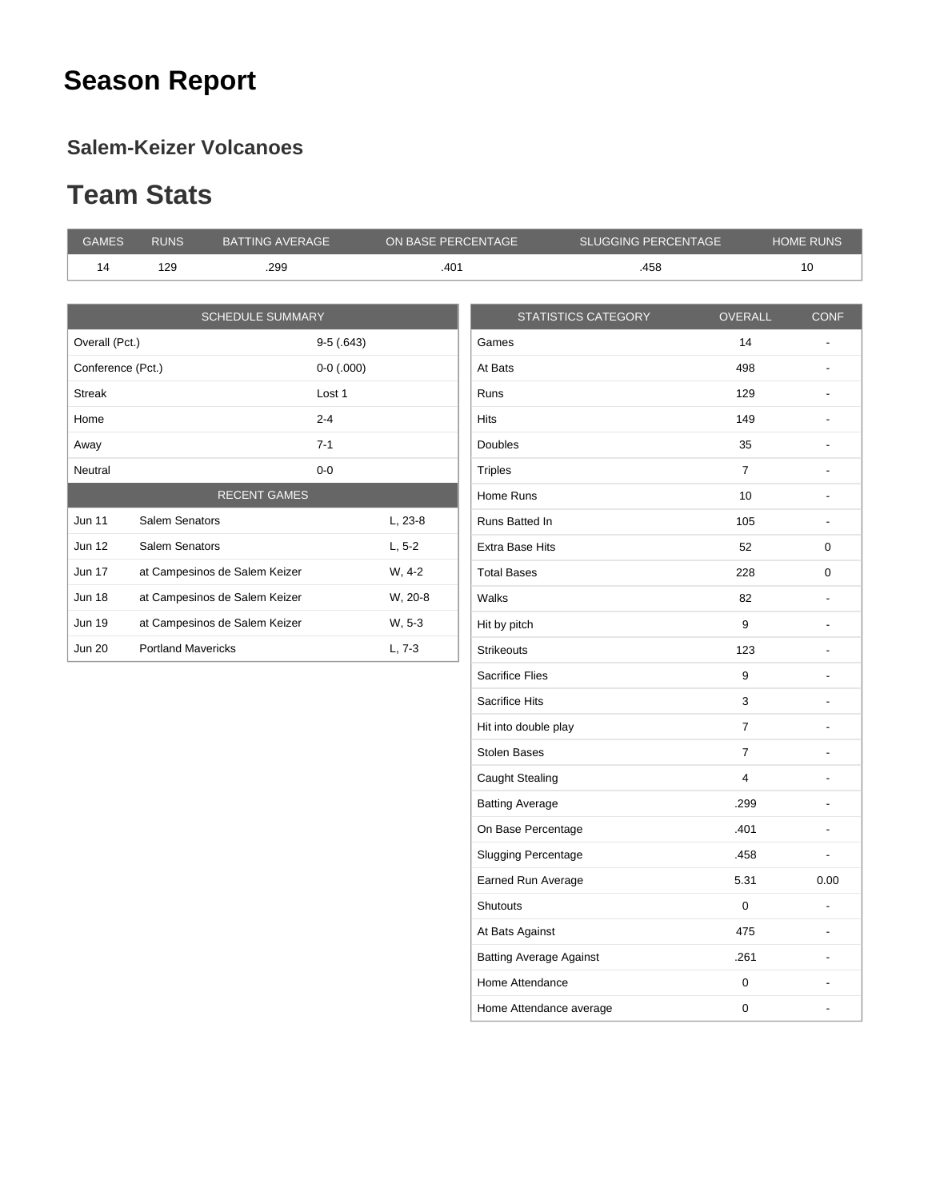## **Season Report**

#### **Salem-Keizer Volcanoes**

#### **Team Stats**

| <b>GAMES</b>      | <b>RUNS</b>               | <b>BATTING AVERAGE</b>        | ON BASE PERCENTAGE |                        | <b>SLUGGING PERCENTAGE</b> |                | <b>HOME RUNS</b>         |
|-------------------|---------------------------|-------------------------------|--------------------|------------------------|----------------------------|----------------|--------------------------|
| 14                | 129                       | .299                          | .401               |                        | .458                       |                | 10                       |
|                   |                           |                               |                    |                        |                            |                |                          |
|                   |                           | <b>SCHEDULE SUMMARY</b>       |                    |                        | <b>STATISTICS CATEGORY</b> | <b>OVERALL</b> | <b>CONF</b>              |
| Overall (Pct.)    |                           |                               | $9-5(.643)$        | Games                  |                            | 14             |                          |
| Conference (Pct.) |                           |                               | $0-0$ (.000)       | At Bats                |                            | 498            | $\blacksquare$           |
| <b>Streak</b>     |                           | Lost 1                        |                    | <b>Runs</b>            |                            | 129            | $\overline{\phantom{a}}$ |
| Home              |                           | $2 - 4$                       |                    | <b>Hits</b>            |                            | 149            | $\overline{\phantom{a}}$ |
| Away              |                           | $7 - 1$                       |                    | <b>Doubles</b>         |                            | 35             | $\overline{\phantom{a}}$ |
| Neutral           |                           | $0-0$                         |                    | <b>Triples</b>         |                            | $\overline{7}$ | $\blacksquare$           |
|                   |                           | <b>RECENT GAMES</b>           |                    | Home Runs              |                            | 10             | $\overline{\phantom{a}}$ |
| <b>Jun 11</b>     | Salem Senators            |                               | L, 23-8            | Runs Batted In         |                            | 105            |                          |
| <b>Jun 12</b>     | Salem Senators            |                               | $L, 5-2$           | <b>Extra Base Hits</b> |                            | 52             | 0                        |
| <b>Jun 17</b>     |                           | at Campesinos de Salem Keizer | W, 4-2             | <b>Total Bases</b>     |                            | 228            | 0                        |
| <b>Jun 18</b>     |                           | at Campesinos de Salem Keizer | W, 20-8            | Walks                  |                            | 82             |                          |
| <b>Jun 19</b>     |                           | at Campesinos de Salem Keizer | W, 5-3             | Hit by pitch           |                            | 9              | $\overline{\phantom{a}}$ |
| <b>Jun 20</b>     | <b>Portland Mavericks</b> |                               | $L, 7-3$           | <b>Strikeouts</b>      |                            | 123            | $\overline{\phantom{a}}$ |
|                   |                           |                               |                    | <b>Sacrifice Flies</b> |                            | 9              |                          |
|                   |                           |                               |                    | <b>Sacrifice Hits</b>  |                            | 3              |                          |

| <b>Hits</b>                    | 149            | ٠              |
|--------------------------------|----------------|----------------|
| <b>Doubles</b>                 | 35             |                |
| <b>Triples</b>                 | $\overline{7}$ | $\overline{a}$ |
| Home Runs                      | 10             |                |
| Runs Batted In                 | 105            | $\overline{a}$ |
| <b>Extra Base Hits</b>         | 52             | 0              |
| <b>Total Bases</b>             | 228            | 0              |
| Walks                          | 82             |                |
| Hit by pitch                   | 9              |                |
| <b>Strikeouts</b>              | 123            |                |
| <b>Sacrifice Flies</b>         | 9              |                |
| Sacrifice Hits                 | 3              |                |
| Hit into double play           | $\overline{7}$ |                |
| <b>Stolen Bases</b>            | 7              |                |
| Caught Stealing                | 4              |                |
| <b>Batting Average</b>         | .299           |                |
| On Base Percentage             | .401           |                |
| <b>Slugging Percentage</b>     | .458           |                |
| Earned Run Average             | 5.31           | 0.00           |
| <b>Shutouts</b>                | $\Omega$       |                |
| At Bats Against                | 475            |                |
| <b>Batting Average Against</b> | .261           |                |
| Home Attendance                | 0              |                |
| Home Attendance average        | 0              |                |
|                                |                |                |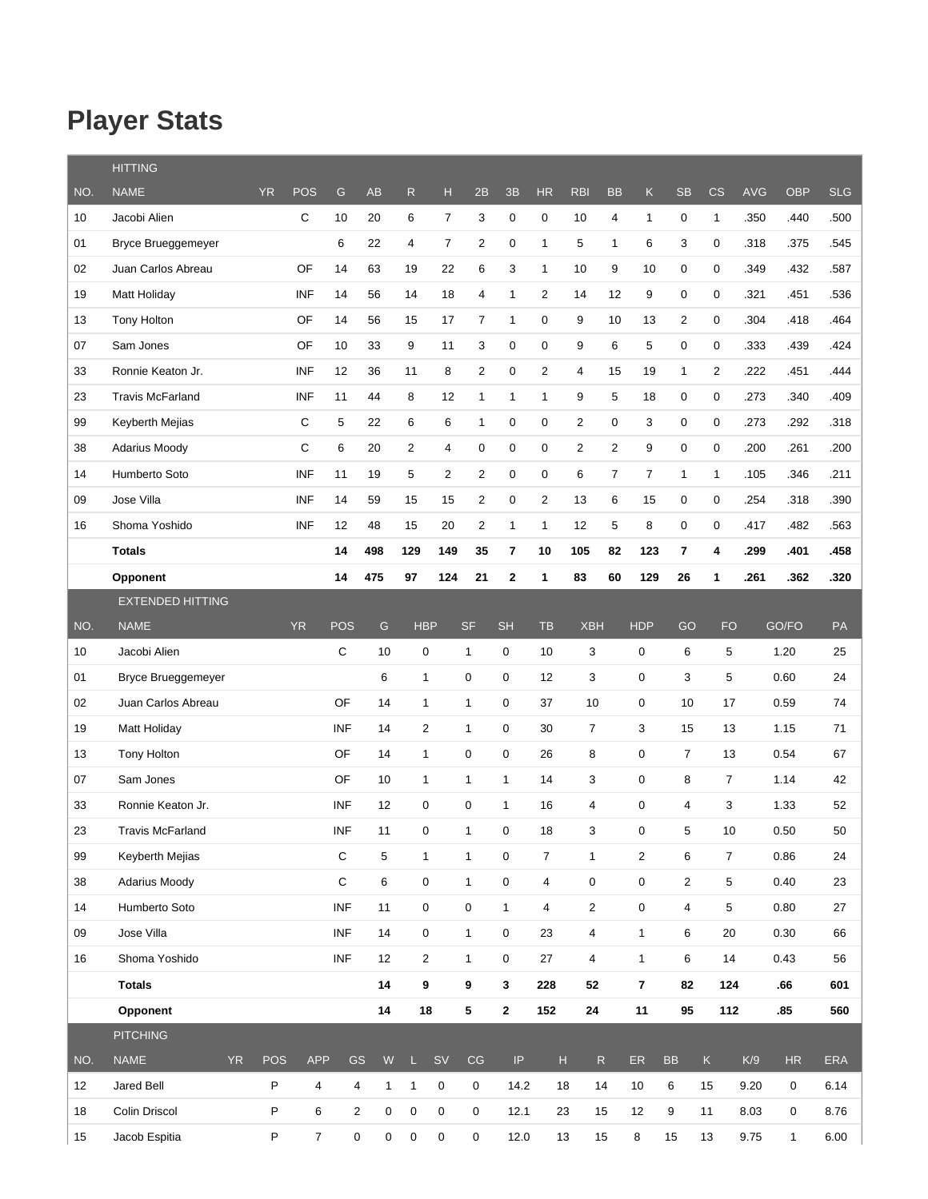## **Player Stats**

|     | <b>HITTING</b>           |            |                |                |               |                     |                |                         |                            |                |                                                                   |                |                |                  |                |            |              |            |
|-----|--------------------------|------------|----------------|----------------|---------------|---------------------|----------------|-------------------------|----------------------------|----------------|-------------------------------------------------------------------|----------------|----------------|------------------|----------------|------------|--------------|------------|
| NO. | <b>NAME</b>              | <b>YR</b>  | POS            | G              | AB            | ${\sf R}$           | н              | 2B                      | 3B                         | HR             | <b>RBI</b>                                                        | <b>BB</b>      | $\mathsf K$    | <b>SB</b>        | CS             | <b>AVG</b> | <b>OBP</b>   | <b>SLG</b> |
| 10  | Jacobi Alien             |            | $\mathbf C$    | 10             | 20            | 6                   | $\overline{7}$ | 3                       | 0                          | 0              | 10                                                                | 4              | $\mathbf{1}$   | 0                | $\mathbf{1}$   | .350       | .440         | .500       |
| 01  | Bryce Brueggemeyer       |            |                | 6              | 22            | 4                   | $\overline{7}$ | $\overline{\mathbf{c}}$ | 0                          | $\mathbf{1}$   | 5                                                                 | $\mathbf{1}$   | 6              | 3                | 0              | .318       | .375         | .545       |
| 02  | Juan Carlos Abreau       |            | OF             | 14             | 63            | 19                  | 22             | 6                       | 3                          | $\mathbf{1}$   | 10                                                                | 9              | 10             | 0                | 0              | .349       | .432         | .587       |
| 19  | Matt Holiday             |            | <b>INF</b>     | 14             | 56            | 14                  | 18             | $\overline{4}$          | 1                          | 2              | 14                                                                | 12             | 9              | 0                | 0              | .321       | .451         | .536       |
| 13  | <b>Tony Holton</b>       |            | OF             | 14             | 56            | 15                  | 17             | $\overline{7}$          | $\mathbf{1}$               | 0              | 9                                                                 | 10             | 13             | $\overline{2}$   | $\mathbf 0$    | .304       | .418         | .464       |
| 07  | Sam Jones                |            | OF             | 10             | 33            | 9                   | 11             | 3                       | 0                          | 0              | 9                                                                 | 6              | 5              | $\mathbf 0$      | 0              | .333       | .439         | .424       |
| 33  | Ronnie Keaton Jr.        |            | <b>INF</b>     | 12             | 36            | 11                  | 8              | $\overline{2}$          | 0                          | 2              | 4                                                                 | 15             | 19             | 1                | $\overline{2}$ | .222       | .451         | .444       |
| 23  | <b>Travis McFarland</b>  |            | <b>INF</b>     | 11             | 44            | 8                   | 12             | $\mathbf{1}$            | 1                          | $\mathbf{1}$   | 9                                                                 | 5              | 18             | 0                | 0              | .273       | .340         | .409       |
| 99  | Keyberth Mejias          |            | C              | 5              | 22            | 6                   | 6              | $\mathbf{1}$            | 0                          | 0              | $\overline{c}$                                                    | 0              | 3              | 0                | 0              | .273       | .292         | .318       |
| 38  | <b>Adarius Moody</b>     |            | C              | 6              | 20            | $\overline{2}$      | 4              | 0                       | 0                          | 0              | $\overline{2}$                                                    | $\overline{2}$ | 9              | 0                | 0              | .200       | .261         | .200       |
| 14  | Humberto Soto            |            | <b>INF</b>     | 11             | 19            | 5                   | $\overline{2}$ | $\overline{2}$          | 0                          | 0              | 6                                                                 | $\overline{7}$ | $\overline{7}$ | 1                | $\mathbf{1}$   | .105       | .346         | .211       |
| 09  | Jose Villa               |            | <b>INF</b>     | 14             | 59            | 15                  | 15             | $\overline{2}$          | 0                          | $\overline{2}$ | 13                                                                | 6              | 15             | 0                | 0              | .254       | .318         | .390       |
| 16  | Shoma Yoshido            |            | <b>INF</b>     | 12             | 48            | 15                  | 20             | $\overline{\mathbf{c}}$ | $\mathbf{1}$               | $\mathbf{1}$   | 12                                                                | 5              | 8              | 0                | 0              | .417       | .482         | .563       |
|     | <b>Totals</b>            |            |                | 14             | 498           | 129                 | 149            | 35                      | 7                          | 10             | 105                                                               | 82             | 123            | 7                | 4              | .299       | .401         | .458       |
|     | Opponent                 |            |                | 14             | 475           | 97                  | 124            | 21                      | 2                          | 1              | 83                                                                | 60             | 129            | 26               | 1              | .261       | .362         | .320       |
|     | <b>EXTENDED HITTING</b>  |            |                |                |               |                     |                |                         |                            |                |                                                                   |                |                |                  |                |            |              |            |
| NO. | <b>NAME</b>              |            | <b>YR</b>      | <b>POS</b>     | ${\mathsf G}$ | <b>HBP</b>          |                | <b>SF</b>               | <b>SH</b>                  | <b>TB</b>      | <b>XBH</b>                                                        |                | <b>HDP</b>     | GO               | <b>FO</b>      |            | GO/FO        | PA         |
| 10  | Jacobi Alien             |            |                | C              | 10            | $\mathbf 0$         |                | $\mathbf{1}$            | 0                          | 10             | 3                                                                 |                | 0              | 6                | 5              |            | 1.20         | 25         |
| 01  | Bryce Brueggemeyer       |            |                |                | 6             | $\mathbf{1}$        |                | 0                       | 0                          | 12             | 3                                                                 |                | 0              | 3                | 5              |            | 0.60         | 24         |
| 02  | Juan Carlos Abreau       |            |                | OF             | 14            | $\mathbf{1}$        |                | $\mathbf{1}$            | 0                          | 37             | 10                                                                |                | 0              | 10               | 17             |            | 0.59         | 74         |
| 19  | Matt Holiday             |            |                | <b>INF</b>     | 14            | $\overline{2}$      |                | $\mathbf{1}$            | 0                          | 30             | $\overline{7}$                                                    |                | 3              | 15               | 13             |            | 1.15         | 71         |
| 13  | Tony Holton              |            |                | OF             | 14            | $\mathbf{1}$        |                | 0                       | 0                          | 26             | 8                                                                 |                | 0              | 7                | 13             |            | 0.54         | 67         |
| 07  | Sam Jones                |            |                | OF             | 10            | $\mathbf{1}$        |                | 1                       | $\mathbf{1}$               | 14             | 3                                                                 |                | 0              | 8                | $\overline{7}$ |            | 1.14         | 42         |
| 33  | Ronnie Keaton Jr.        |            |                | INF            | 12            | $\mathbf 0$         |                | 0                       | $\mathbf{1}$               | 16             | 4                                                                 |                | 0              | 4                | 3              |            | 1.33         | 52         |
| 23  | <b>Travis McFarland</b>  |            |                | INF            | 11            | 0                   |                | $\mathbf{1}$            | $\mathbf 0$                | 18             | 3                                                                 |                | 0              | 5                | 10             |            | 0.50         | 50         |
| 99  | Keyberth Mejias          |            |                | $\mathsf C$    | $\sqrt{5}$    | $\mathbf{1}$        |                | $\mathbf{1}$            | $\mathbf 0$                | $\overline{7}$ | $\mathbf{1}$                                                      |                | $\overline{2}$ | 6                | $\overline{7}$ |            | 0.86         | 24         |
| 38  | Adarius Moody            |            |                | $\mathsf C$    | 6             | 0                   |                | $\mathbf{1}$            | $\mathbf 0$                | 4              | 0                                                                 |                | $\mathsf 0$    | $\overline{c}$   | $\,$ 5 $\,$    |            | 0.40         | 23         |
| 14  | Humberto Soto            |            |                | <b>INF</b>     | 11            | $\pmb{0}$           |                | $\pmb{0}$               | $\mathbf{1}$               | $\overline{4}$ | $\overline{c}$                                                    |                | $\pmb{0}$      | 4                | $\,$ 5 $\,$    |            | 0.80         | 27         |
| 09  | Jose Villa               |            |                | <b>INF</b>     | 14            | 0                   |                | $\mathbf{1}$            | $\mathbf 0$                | 23             | 4                                                                 |                | $\mathbf{1}$   | 6                | 20             |            | 0.30         | 66         |
| 16  | Shoma Yoshido            |            |                | <b>INF</b>     | 12            | $\overline{2}$      |                | $\mathbf{1}$            | $\mathbf 0$                | 27             | 4                                                                 |                | $\mathbf{1}$   | 6                | 14             |            | 0.43         | 56         |
|     | <b>Totals</b>            |            |                |                | 14            | 9                   |                | 9                       | 3                          | 228            | 52                                                                |                | $\overline{7}$ | 82               | 124            |            | .66          | 601        |
|     | Opponent                 |            |                |                | 14            | 18                  |                | 5                       | $\mathbf 2$                | 152            | ${\bf 24}$                                                        |                | 11             | 95               | 112            |            | .85          | 560        |
|     | <b>PITCHING</b>          |            |                |                |               |                     |                |                         |                            |                |                                                                   |                |                |                  |                |            |              |            |
| NO. | <b>NAME</b><br><b>YR</b> | <b>POS</b> | <b>APP</b>     | <b>GS</b>      | ${\sf W}$     | $\mathsf{L}^-$      | <b>SV</b>      | $\mathbb{C}\mathbb{G}$  | $\ensuremath{\mathsf{IP}}$ |                | $\mathsf{H}% _{\mathsf{H}}^{\ast}=\mathsf{H}_{\mathsf{H}}^{\ast}$ | ${\sf R}$      | ER             | <b>BB</b>        | $\mathsf K$    | K/9        | HR           | <b>ERA</b> |
| 12  | Jared Bell               | P          | $\overline{4}$ | 4              | $\mathbf{1}$  | $\mathbf{1}$        | 0              | 0                       | 14.2                       |                | 18                                                                | 14             | $10$           | 6                | 15             | 9.20       | 0            | 6.14       |
| 18  | Colin Driscol            | P          | 6              | $\overline{2}$ | 0             | $\mathsf{O}\xspace$ | 0              | 0                       | 12.1                       |                | 23                                                                | 15             | 12             | $\boldsymbol{9}$ | 11             | 8.03       | 0            | 8.76       |
| 15  | Jacob Espitia            | P          | $\overline{7}$ | 0              | 0             | $\mathsf 0$         | 0              | 0                       | 12.0                       |                | 13                                                                | 15             | 8              | 15               | 13             | 9.75       | $\mathbf{1}$ | 6.00       |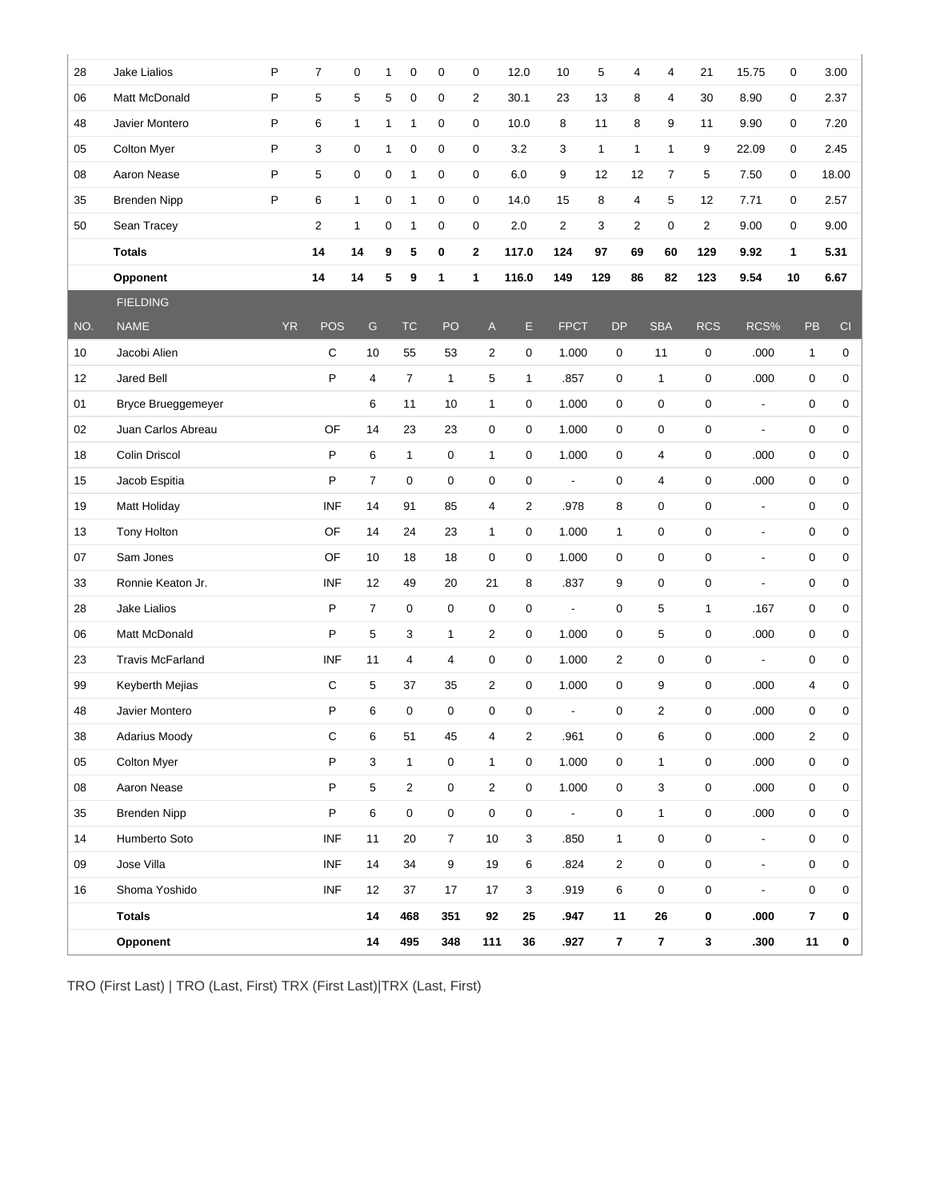|     | <b>Totals</b><br>Opponent |              |                | 14<br>14       |              | 468<br>495     | 351<br>348     | 92<br>111               | 25<br>$36\,$   | .947<br>.927             | 11           | $\overline{7}$ | 26<br>$\overline{7}$ | 0<br>$\mathbf{3}$   | .000<br>.300             | $\overline{7}$<br>11 | 0<br>$\mathbf 0$ |
|-----|---------------------------|--------------|----------------|----------------|--------------|----------------|----------------|-------------------------|----------------|--------------------------|--------------|----------------|----------------------|---------------------|--------------------------|----------------------|------------------|
| 16  | Shoma Yoshido             |              | <b>INF</b>     | 12             |              | 37             | 17             | 17                      | 3              | .919                     |              | 6              | $\mathbf 0$          | $\pmb{0}$           | $\overline{\phantom{a}}$ | $\mathsf 0$          | 0                |
| 09  | Jose Villa                |              | <b>INF</b>     | 14             |              | 34             | 9              | 19                      | 6              | .824                     |              | $\mathbf 2$    | $\mathbf 0$          | $\pmb{0}$           | $\overline{\phantom{a}}$ | $\mathsf 0$          | 0                |
| 14  | Humberto Soto             |              | <b>INF</b>     | 11             |              | 20             | $\overline{7}$ | 10                      | 3              | .850                     |              | $\mathbf{1}$   | $\mathsf{O}\xspace$  | $\pmb{0}$           | $\overline{\phantom{a}}$ | 0                    | $\mathsf 0$      |
| 35  | <b>Brenden Nipp</b>       |              | P              | 6              |              | $\mathsf 0$    | $\pmb{0}$      | 0                       | 0              | $\blacksquare$           |              | 0              | $\mathbf{1}$         | $\pmb{0}$           | .000                     | 0                    | 0                |
| 08  | Aaron Nease               |              | $\mathsf P$    | 5              |              | $\overline{2}$ | $\pmb{0}$      | $\overline{c}$          | $\mathbf 0$    | 1.000                    |              | $\mathbf 0$    | 3                    | $\pmb{0}$           | .000                     | $\boldsymbol{0}$     | 0                |
| 05  | Colton Myer               |              | $\mathsf P$    | 3              |              | $\mathbf{1}$   | $\mathsf 0$    | $\mathbf{1}$            | $\mathbf 0$    | 1.000                    |              | 0              | $\mathbf{1}$         | $\pmb{0}$           | .000                     | $\mathsf 0$          | 0                |
| 38  | <b>Adarius Moody</b>      |              | $\mathsf C$    | 6              |              | 51             | 45             | $\overline{\mathbf{4}}$ | $\overline{c}$ | .961                     |              | 0              | 6                    | $\pmb{0}$           | .000                     | $\overline{c}$       | 0                |
| 48  | Javier Montero            |              | P              | 6              |              | 0              | 0              | 0                       | $\mathbf 0$    | $\overline{a}$           |              | 0              | $\overline{2}$       | $\mathbf 0$         | .000                     | 0                    | 0                |
| 99  | Keyberth Mejias           |              | $\mathbf C$    | 5              |              | 37             | 35             | $\overline{2}$          | 0              | 1.000                    |              | 0              | 9                    | $\mathbf 0$         | .000                     | 4                    | 0                |
| 23  | <b>Travis McFarland</b>   |              | <b>INF</b>     | 11             |              | 4              | 4              | 0                       | $\mathbf 0$    | 1.000                    |              | $\overline{2}$ | $\mathbf 0$          | $\mathbf 0$         | $\overline{\phantom{a}}$ | 0                    | 0                |
| 06  | Matt McDonald             |              | P              | 5              |              | 3              | $\mathbf{1}$   | $\overline{2}$          | 0              | 1.000                    |              | 0              | 5                    | 0                   | .000                     | 0                    | 0                |
| 28  | Jake Lialios              |              | P              | $\overline{7}$ |              | 0              | 0              | 0                       | $\mathbf 0$    | $\overline{\phantom{a}}$ |              | $\mathbf 0$    | 5                    | 1                   | .167                     | 0                    | 0                |
| 33  | Ronnie Keaton Jr.         |              | <b>INF</b>     | 12             |              | 49             | 20             | 21                      | 8              | .837                     |              | 9              | $\mathbf 0$          | $\mathsf 0$         | $\overline{\phantom{a}}$ | 0                    | 0                |
| 07  | Sam Jones                 |              | OF             | 10             |              | 18             | 18             | 0                       | $\mathbf 0$    | 1.000                    |              | 0              | $\mathbf 0$          | $\mathbf 0$         | $\overline{\phantom{a}}$ | 0                    | 0                |
| 13  | Tony Holton               |              | OF             | 14             |              | 24             | 23             | $\mathbf{1}$            | $\mathbf 0$    | 1.000                    | $\mathbf{1}$ |                | $\mathbf 0$          | $\mathbf 0$         | $\overline{\phantom{a}}$ | 0                    | 0                |
| 19  | <b>Matt Holiday</b>       |              | <b>INF</b>     | 14             |              | 91             | 85             | 4                       | $\overline{2}$ | .978                     |              | 8              | $\pmb{0}$            | $\mathsf 0$         | $\overline{\phantom{a}}$ | 0                    | 0                |
| 15  | Jacob Espitia             |              | $\mathsf{P}$   | $\overline{7}$ |              | 0              | 0              | 0                       | $\mathbf 0$    | $\blacksquare$           |              | 0              | $\overline{4}$       | 0                   | .000                     | 0                    | 0                |
| 18  | Colin Driscol             |              | P              | 6              |              | $\mathbf{1}$   | 0              | $\mathbf{1}$            | $\mathbf 0$    | 1.000                    |              | 0              | $\overline{4}$       | 0                   | .000                     | 0                    | $\mathbf 0$      |
| 02  | Juan Carlos Abreau        |              | OF             | 14             |              | 23             | 23             | 0                       | 0              | 1.000                    |              | 0              | $\pmb{0}$            | $\mathsf 0$         | $\overline{\phantom{a}}$ | 0                    | 0                |
| 01  | Bryce Brueggemeyer        |              |                | 6              |              | 11             | 10             | $\mathbf{1}$            | 0              | 1.000                    |              | 0              | $\mathbf 0$          | $\mathsf{O}\xspace$ | $\blacksquare$           | 0                    | 0                |
| 12  | Jared Bell                |              | P              | $\overline{4}$ |              | $\overline{7}$ | $\mathbf{1}$   | 5                       | $\mathbf{1}$   | .857                     |              | 0              | $\mathbf{1}$         | 0                   | .000                     | 0                    | 0                |
| 10  | Jacobi Alien              |              | $\mathsf{C}$   | 10             |              | 55             | 53             | $\overline{2}$          | 0              | 1.000                    |              | 0              | 11                   | $\mathbf 0$         | .000                     | $\mathbf{1}$         | $\mathbf 0$      |
| NO. | <b>NAME</b>               | <b>YR</b>    | <b>POS</b>     | ${\mathsf G}$  |              | <b>TC</b>      | PO             | A                       | E              | <b>FPCT</b>              | <b>DP</b>    |                | <b>SBA</b>           | <b>RCS</b>          | RCS%                     | <b>PB</b>            | CI               |
|     | <b>FIELDING</b>           |              |                |                |              |                |                |                         |                |                          |              |                |                      |                     |                          |                      |                  |
|     | Opponent                  |              | 14             | 14             | 5            | 9              | 1              | 1                       | 116.0          | 149                      | 129          | 86             | 82                   | 123                 | 9.54                     | 10                   | 6.67             |
|     | <b>Totals</b>             |              | 14             | 14             | 9            | 5              | $\pmb{0}$      | $\mathbf{2}$            | 117.0          | 124                      | 97           | 69             | 60                   | 129                 | 9.92                     | 1                    | 5.31             |
| 50  | Sean Tracey               |              | $\overline{c}$ | $\mathbf{1}$   | 0            | $\mathbf{1}$   | $\mathbf 0$    | $\pmb{0}$               | 2.0            | $\overline{2}$           | 3            | $\overline{2}$ | 0                    | 2                   | 9.00                     | $\mathbf 0$          | 9.00             |
| 35  | <b>Brenden Nipp</b>       | P            | 6              | 1              | $\mathbf 0$  | $\mathbf{1}$   | $\mathbf 0$    | $\mathbf 0$             | 14.0           | 15                       | 8            | 4              | 5                    | 12                  | 7.71                     | $\mathbf 0$          | 2.57             |
| 08  | Aaron Nease               | $\mathsf{P}$ | 5              | 0              | 0            | $\mathbf{1}$   | $\mathbf 0$    | $\pmb{0}$               | 6.0            | 9                        | 12           | 12             | $\overline{7}$       | 5                   | 7.50                     | 0                    | 18.00            |
| 05  | <b>Colton Myer</b>        | P            | 3              | $\mathbf 0$    | $\mathbf{1}$ | $\mathbf 0$    | 0              | $\mathbf 0$             | 3.2            | 3                        | $\mathbf{1}$ | $\mathbf{1}$   | $\mathbf{1}$         | 9                   | 22.09                    | 0                    | 2.45             |
| 48  | Javier Montero            | $\sf P$      | 6              | 1              | $\mathbf{1}$ | $\mathbf{1}$   | $\mathbf 0$    | $\pmb{0}$               | 10.0           | 8                        | 11           | 8              | 9                    | 11                  | 9.90                     | 0                    | 7.20             |
| 06  | Matt McDonald             | P            | 5              | 5              | 5            | 0              | 0              | $\overline{2}$          | 30.1           | 23                       | 13           | 8              | $\overline{4}$       | 30                  | 8.90                     | 0                    | 2.37             |

TRO (First Last) | TRO (Last, First) TRX (First Last)|TRX (Last, First)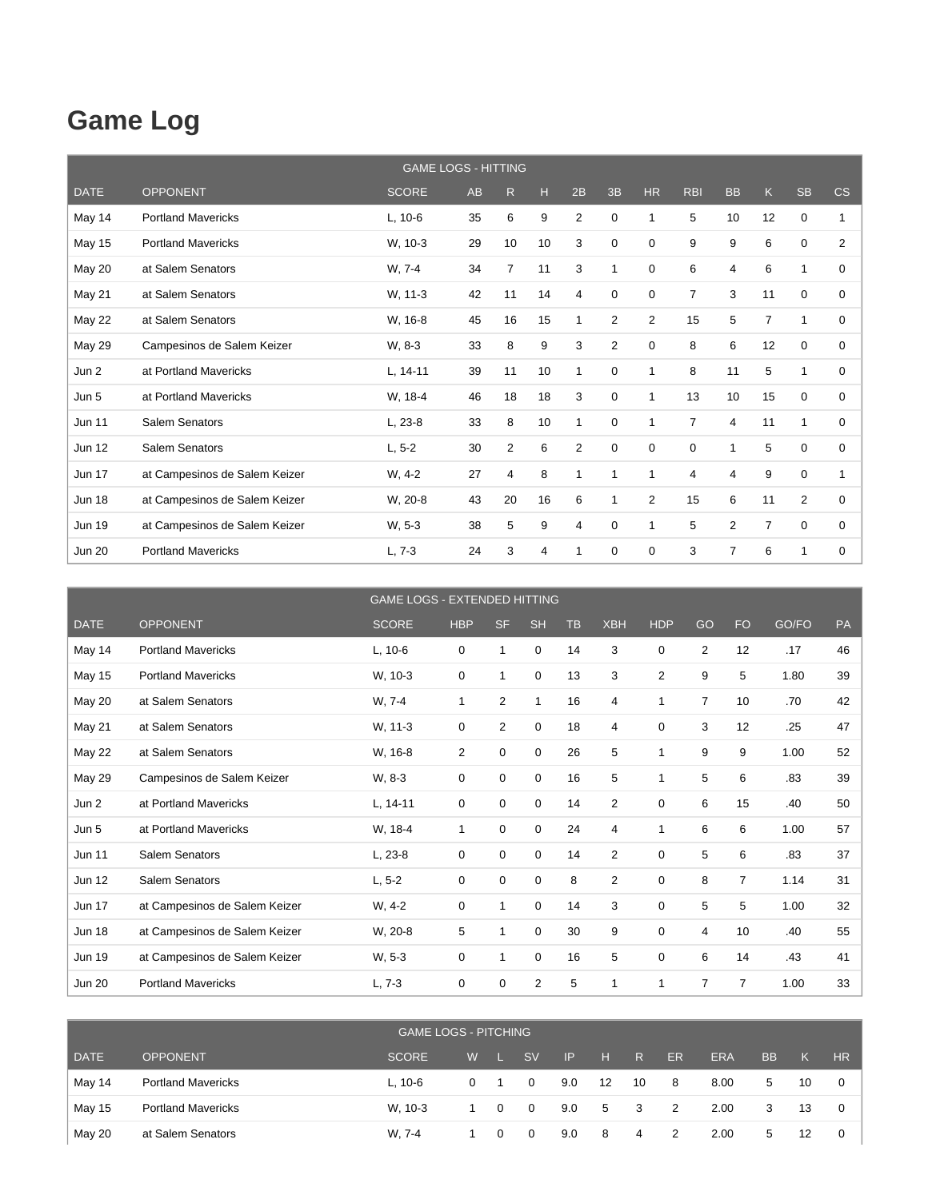#### **Game Log**

|               |                               | <b>GAME LOGS - HITTING</b> |    |                |    |              |                |                |                |                |                |             |                |
|---------------|-------------------------------|----------------------------|----|----------------|----|--------------|----------------|----------------|----------------|----------------|----------------|-------------|----------------|
| <b>DATE</b>   | <b>OPPONENT</b>               | <b>SCORE</b>               | AB | R.             | H  | 2B           | 3B             | <b>HR</b>      | <b>RBI</b>     | <b>BB</b>      | K.             | <b>SB</b>   | CS             |
| May 14        | <b>Portland Mavericks</b>     | $L, 10-6$                  | 35 | 6              | 9  | 2            | $\mathbf 0$    | 1              | 5              | 10             | 12             | 0           |                |
| <b>May 15</b> | <b>Portland Mavericks</b>     | W, 10-3                    | 29 | 10             | 10 | 3            | 0              | 0              | 9              | 9              | 6              | $\mathbf 0$ | $\overline{2}$ |
| May 20        | at Salem Senators             | W, 7-4                     | 34 | $\overline{7}$ | 11 | 3            | 1              | 0              | 6              | 4              | 6              | 1           | $\Omega$       |
| <b>May 21</b> | at Salem Senators             | W, 11-3                    | 42 | 11             | 14 | 4            | 0              | 0              | $\overline{7}$ | 3              | 11             | $\mathbf 0$ | 0              |
| <b>May 22</b> | at Salem Senators             | W, 16-8                    | 45 | 16             | 15 | 1            | $\overline{2}$ | $\overline{2}$ | 15             | 5              | $\overline{7}$ | 1           | 0              |
| <b>May 29</b> | Campesinos de Salem Keizer    | W, 8-3                     | 33 | 8              | 9  | 3            | $\overline{2}$ | $\Omega$       | 8              | 6              | 12             | $\mathbf 0$ | $\Omega$       |
| Jun 2         | at Portland Mavericks         | $L, 14-11$                 | 39 | 11             | 10 | 1            | 0              | 1              | 8              | 11             | 5              | 1           | 0              |
| Jun 5         | at Portland Mavericks         | W. 18-4                    | 46 | 18             | 18 | 3            | $\mathbf 0$    | 1              | 13             | 10             | 15             | $\mathbf 0$ | 0              |
| <b>Jun 11</b> | Salem Senators                | $L, 23-8$                  | 33 | 8              | 10 | $\mathbf{1}$ | 0              | 1              | $\overline{7}$ | 4              | 11             | 1           | $\Omega$       |
| <b>Jun 12</b> | Salem Senators                | $L, 5-2$                   | 30 | $\overline{2}$ | 6  | 2            | $\mathbf 0$    | 0              | 0              | 1              | 5              | $\mathbf 0$ | 0              |
| <b>Jun 17</b> | at Campesinos de Salem Keizer | $W, 4-2$                   | 27 | 4              | 8  | 1            | 1              | 1              | 4              | 4              | 9              | $\mathbf 0$ |                |
| <b>Jun 18</b> | at Campesinos de Salem Keizer | W, 20-8                    | 43 | 20             | 16 | 6            | 1              | $\overline{2}$ | 15             | 6              | 11             | 2           | $\Omega$       |
| <b>Jun 19</b> | at Campesinos de Salem Keizer | W, 5-3                     | 38 | 5              | 9  | 4            | 0              | 1              | 5              | $\overline{2}$ | $\overline{7}$ | $\mathbf 0$ | 0              |
| <b>Jun 20</b> | <b>Portland Mavericks</b>     | $L, 7-3$                   | 24 | 3              | 4  | 1            | $\mathbf 0$    | 0              | 3              | $\overline{7}$ | 6              | 1           | 0              |

|               |                               | <b>GAME LOGS - EXTENDED HITTING</b> |             |                |              |           |                |                |                |                |       |    |
|---------------|-------------------------------|-------------------------------------|-------------|----------------|--------------|-----------|----------------|----------------|----------------|----------------|-------|----|
| <b>DATE</b>   | <b>OPPONENT</b>               | <b>SCORE</b>                        | <b>HBP</b>  | <b>SF</b>      | <b>SH</b>    | <b>TB</b> | <b>XBH</b>     | <b>HDP</b>     | GO             | <b>FO</b>      | GO/FO | PA |
| May 14        | <b>Portland Mavericks</b>     | $L, 10-6$                           | 0           | 1              | $\mathbf 0$  | 14        | 3              | 0              | $\overline{2}$ | 12             | .17   | 46 |
| <b>May 15</b> | <b>Portland Mavericks</b>     | W, 10-3                             | 0           | 1              | $\mathbf 0$  | 13        | 3              | $\overline{2}$ | 9              | 5              | 1.80  | 39 |
| May 20        | at Salem Senators             | W, 7-4                              | 1           | $\overline{2}$ | $\mathbf{1}$ | 16        | $\overline{4}$ | 1              | $\overline{7}$ | 10             | .70   | 42 |
| May 21        | at Salem Senators             | W, 11-3                             | 0           | 2              | $\mathbf 0$  | 18        | 4              | 0              | 3              | 12             | .25   | 47 |
| May 22        | at Salem Senators             | W, 16-8                             | 2           | 0              | $\mathbf 0$  | 26        | 5              | 1              | 9              | 9              | 1.00  | 52 |
| May 29        | Campesinos de Salem Keizer    | W, 8-3                              | 0           | 0              | 0            | 16        | 5              | 1              | 5              | 6              | .83   | 39 |
| Jun 2         | at Portland Mavericks         | $L, 14-11$                          | 0           | 0              | $\mathbf 0$  | 14        | 2              | 0              | 6              | 15             | .40   | 50 |
| Jun 5         | at Portland Mavericks         | W, 18-4                             | 1           | 0              | $\mathbf 0$  | 24        | 4              | 1              | 6              | 6              | 1.00  | 57 |
| <b>Jun 11</b> | Salem Senators                | $L, 23-8$                           | $\mathbf 0$ | $\mathbf 0$    | $\mathbf 0$  | 14        | $\overline{2}$ | $\mathbf 0$    | 5              | 6              | .83   | 37 |
| Jun 12        | Salem Senators                | $L, 5-2$                            | 0           | 0              | $\mathbf 0$  | 8         | $\overline{2}$ | 0              | 8              | $\overline{7}$ | 1.14  | 31 |
| <b>Jun 17</b> | at Campesinos de Salem Keizer | W, 4-2                              | 0           | 1              | $\mathbf 0$  | 14        | 3              | 0              | 5              | 5              | 1.00  | 32 |
| <b>Jun 18</b> | at Campesinos de Salem Keizer | W, 20-8                             | 5           |                | $\mathbf 0$  | 30        | 9              | 0              | 4              | 10             | .40   | 55 |
| <b>Jun 19</b> | at Campesinos de Salem Keizer | W, 5-3                              | 0           | $\mathbf{1}$   | $\mathbf 0$  | 16        | 5              | 0              | 6              | 14             | .43   | 41 |
| <b>Jun 20</b> | <b>Portland Mavericks</b>     | $L, 7-3$                            | 0           | 0              | 2            | 5         | 1              |                | 7              | $\overline{7}$ | 1.00  | 33 |

|             |                           | GAME LOGS - PITCHING |          |                |                |     |      |                         |           |            |           |    |     |
|-------------|---------------------------|----------------------|----------|----------------|----------------|-----|------|-------------------------|-----------|------------|-----------|----|-----|
| <b>DATE</b> | <b>OPPONENT</b>           | <b>SCORE</b>         | W        |                | <b>SV</b>      | IP  | l Hr | R                       | <b>ER</b> | <b>ERA</b> | <b>BB</b> | K. | HR. |
| May 14      | <b>Portland Mavericks</b> | $L, 10-6$            | $\Omega$ |                | 0              | 9.0 | 12   | 10                      | 8         | 8.00       | 5         | 10 | 0   |
| May 15      | <b>Portland Mavericks</b> | W. 10-3              |          | $\overline{0}$ | $\overline{0}$ | 9.0 | 5    | $\overline{\mathbf{3}}$ | 2         | 2.00       | 3         | 13 | 0   |
| May 20      | at Salem Senators         | W. 7-4               |          | $\Omega$       | $\Omega$       | 9.0 | - 8  | 4                       | 2         | 2.00       | 5         | 12 |     |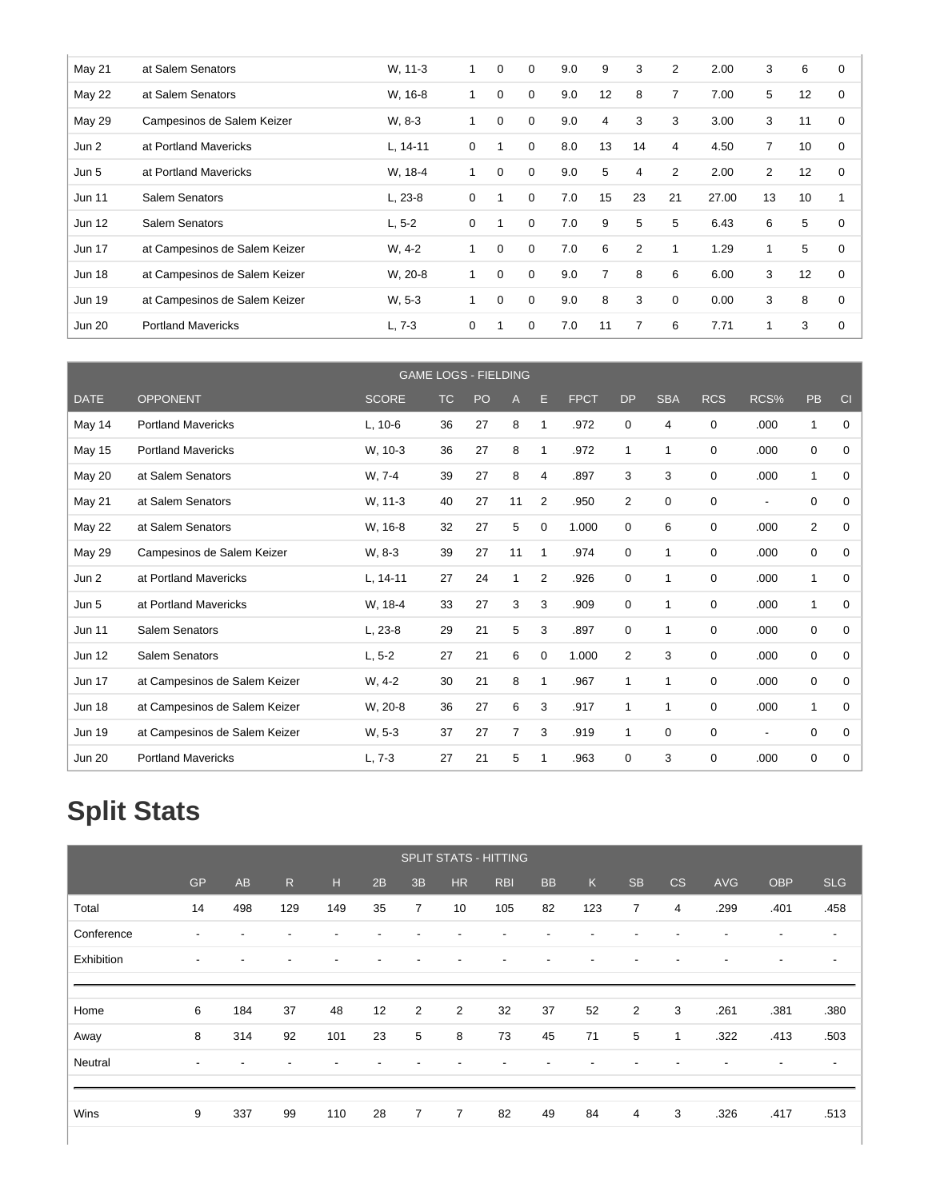| May 21        | at Salem Senators             | W. 11-3    | 1 | 0 | 0        | 9.0 | 9              | 3              | $\overline{2}$ | 2.00  | 3              | 6  | 0           |
|---------------|-------------------------------|------------|---|---|----------|-----|----------------|----------------|----------------|-------|----------------|----|-------------|
| <b>May 22</b> | at Salem Senators             | W, 16-8    |   | 0 | 0        | 9.0 | 12             | 8              | 7              | 7.00  | 5              | 12 | 0           |
| <b>May 29</b> | Campesinos de Salem Keizer    | W, 8-3     | 1 | 0 | 0        | 9.0 | $\overline{4}$ | 3              | 3              | 3.00  | 3              | 11 | 0           |
| Jun 2         | at Portland Mavericks         | $L, 14-11$ | 0 |   | 0        | 8.0 | 13             | 14             | 4              | 4.50  | $\overline{7}$ | 10 | 0           |
| Jun 5         | at Portland Mavericks         | W. 18-4    |   | 0 | 0        | 9.0 | 5              | 4              | 2              | 2.00  | $\overline{2}$ | 12 | 0           |
| Jun 11        | Salem Senators                | $L, 23-8$  | 0 |   | 0        | 7.0 | 15             | 23             | 21             | 27.00 | 13             | 10 |             |
| Jun 12        | Salem Senators                | $L, 5-2$   | 0 |   | $\Omega$ | 7.0 | 9              | 5              | 5              | 6.43  | 6              | 5  | 0           |
| <b>Jun 17</b> | at Campesinos de Salem Keizer | $W, 4-2$   | 1 | 0 | 0        | 7.0 | 6              | $\overline{2}$ |                | 1.29  | $\mathbf{1}$   | 5  | 0           |
| <b>Jun 18</b> | at Campesinos de Salem Keizer | W, 20-8    | 1 | 0 | 0        | 9.0 | $\overline{7}$ | 8              | 6              | 6.00  | 3              | 12 | $\mathbf 0$ |
| Jun 19        | at Campesinos de Salem Keizer | W, 5-3     |   | 0 | 0        | 9.0 | 8              | 3              | 0              | 0.00  | 3              | 8  | 0           |
| <b>Jun 20</b> | <b>Portland Mavericks</b>     | $L, 7-3$   | 0 |   | 0        | 7.0 | 11             | $\overline{7}$ | 6              | 7.71  |                | 3  | 0           |

|               |                               |              |           | <b>GAME LOGS - FIELDING</b> |    |                |             |                |              |             |                          |                |             |
|---------------|-------------------------------|--------------|-----------|-----------------------------|----|----------------|-------------|----------------|--------------|-------------|--------------------------|----------------|-------------|
| <b>DATE</b>   | <b>OPPONENT</b>               | <b>SCORE</b> | <b>TC</b> | PO                          | A  | Е              | <b>FPCT</b> | <b>DP</b>      | <b>SBA</b>   | <b>RCS</b>  | RCS%                     | PB             | CI          |
| May 14        | <b>Portland Mavericks</b>     | $L, 10-6$    | 36        | 27                          | 8  | 1              | .972        | 0              | 4            | 0           | .000                     | 1              | 0           |
| May 15        | <b>Portland Mavericks</b>     | W, 10-3      | 36        | 27                          | 8  | 1              | .972        | $\mathbf{1}$   | $\mathbf 1$  | 0           | .000                     | 0              | 0           |
| May 20        | at Salem Senators             | W, 7-4       | 39        | 27                          | 8  | 4              | .897        | 3              | 3            | 0           | .000                     | 1              | $\Omega$    |
| <b>May 21</b> | at Salem Senators             | W. 11-3      | 40        | 27                          | 11 | $\overline{2}$ | .950        | $\overline{2}$ | 0            | 0           | $\overline{\phantom{a}}$ | 0              | 0           |
| May 22        | at Salem Senators             | W, 16-8      | 32        | 27                          | 5  | 0              | 1.000       | 0              | 6            | $\mathbf 0$ | .000                     | $\overline{2}$ | 0           |
| <b>May 29</b> | Campesinos de Salem Keizer    | W, 8-3       | 39        | 27                          | 11 | 1              | .974        | 0              | 1            | 0           | .000                     | 0              | 0           |
| Jun 2         | at Portland Mavericks         | $L, 14-11$   | 27        | 24                          | 1  | $\overline{2}$ | .926        | 0              | $\mathbf{1}$ | 0           | .000                     | 1              | 0           |
| Jun 5         | at Portland Mavericks         | W. 18-4      | 33        | 27                          | 3  | 3              | .909        | 0              | $\mathbf 1$  | $\mathbf 0$ | .000                     | $\mathbf{1}$   | $\Omega$    |
| <b>Jun 11</b> | Salem Senators                | L, 23-8      | 29        | 21                          | 5  | 3              | .897        | 0              | 1            | 0           | .000                     | 0              | 0           |
| <b>Jun 12</b> | Salem Senators                | $L, 5-2$     | 27        | 21                          | 6  | 0              | 1.000       | 2              | 3            | 0           | .000                     | 0              | 0           |
| <b>Jun 17</b> | at Campesinos de Salem Keizer | W, 4-2       | 30        | 21                          | 8  | 1              | .967        | $\mathbf 1$    | 1            | $\mathbf 0$ | .000                     | 0              | $\Omega$    |
| <b>Jun 18</b> | at Campesinos de Salem Keizer | W, 20-8      | 36        | 27                          | 6  | 3              | .917        | 1              | $\mathbf 1$  | 0           | .000                     | 1              | 0           |
| <b>Jun 19</b> | at Campesinos de Salem Keizer | W. 5-3       | 37        | 27                          | 7  | 3              | .919        | $\mathbf{1}$   | 0            | 0           | $\overline{\phantom{a}}$ | 0              | 0           |
| <b>Jun 20</b> | <b>Portland Mavericks</b>     | $L.7-3$      | 27        | 21                          | 5  | 1              | .963        | 0              | 3            | 0           | .000                     | $\mathbf 0$    | $\mathbf 0$ |

# **Split Stats**

|            |                          |                          |                          |                          |    |                |                | <b>SPLIT STATS - HITTING</b> |           |     |                |    |                          |                          |                          |
|------------|--------------------------|--------------------------|--------------------------|--------------------------|----|----------------|----------------|------------------------------|-----------|-----|----------------|----|--------------------------|--------------------------|--------------------------|
|            | <b>GP</b>                | AB                       | R                        | H                        | 2B | 3B             | <b>HR</b>      | <b>RBI</b>                   | <b>BB</b> | K   | <b>SB</b>      | CS | <b>AVG</b>               | <b>OBP</b>               | <b>SLG</b>               |
| Total      | 14                       | 498                      | 129                      | 149                      | 35 | $\overline{7}$ | 10             | 105                          | 82        | 123 | $\overline{7}$ | 4  | .299                     | .401                     | .458                     |
| Conference | $\overline{\phantom{a}}$ | $\overline{\phantom{a}}$ | $\overline{\phantom{a}}$ | $\overline{\phantom{a}}$ | ٠  |                |                |                              |           |     |                |    | $\overline{\phantom{a}}$ | $\overline{\phantom{a}}$ | $\overline{\phantom{a}}$ |
| Exhibition | $\overline{\phantom{a}}$ | ۰                        | -                        | $\overline{\phantom{a}}$ | -  |                |                |                              |           |     |                |    | $\overline{\phantom{a}}$ | $\overline{\phantom{a}}$ | $\overline{\phantom{a}}$ |
|            |                          |                          |                          |                          |    |                |                |                              |           |     |                |    |                          |                          |                          |
| Home       | 6                        | 184                      | 37                       | 48                       | 12 | 2              | $\overline{2}$ | 32                           | 37        | 52  | $\overline{2}$ | 3  | .261                     | .381                     | .380                     |
| Away       | 8                        | 314                      | 92                       | 101                      | 23 | 5              | 8              | 73                           | 45        | 71  | 5              | 1  | .322                     | .413                     | .503                     |
| Neutral    | $\overline{\phantom{a}}$ |                          |                          |                          |    |                |                |                              |           |     |                |    |                          | $\overline{\phantom{a}}$ | $\overline{\phantom{a}}$ |
|            |                          |                          |                          |                          |    |                |                |                              |           |     |                |    |                          |                          |                          |
| Wins       | 9                        | 337                      | 99                       | 110                      | 28 | $\overline{7}$ | $\overline{7}$ | 82                           | 49        | 84  | 4              | 3  | .326                     | .417                     | .513                     |
|            |                          |                          |                          |                          |    |                |                |                              |           |     |                |    |                          |                          |                          |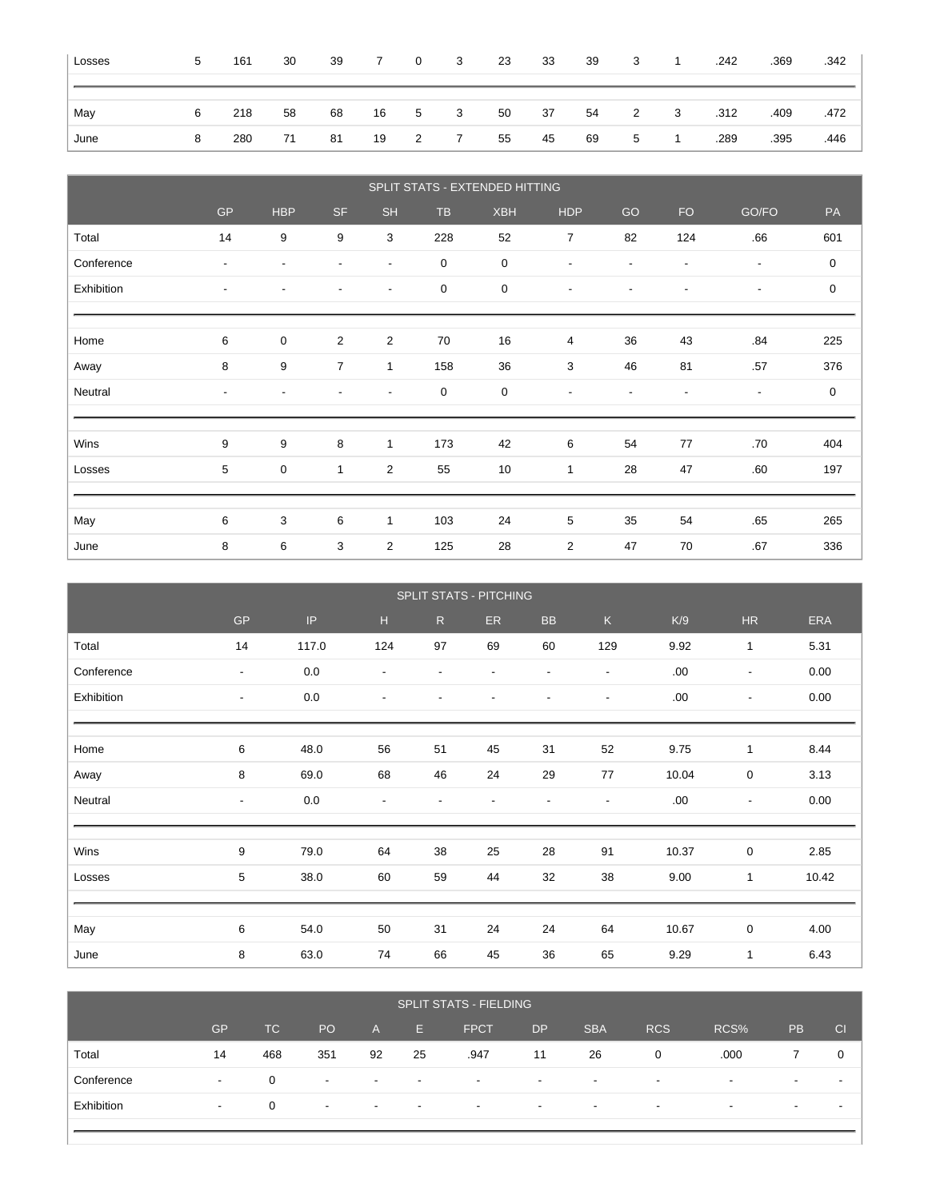| Losses | 5 | 161 | 30 | 39 | $\overline{7}$ | $\overline{0}$ | $\overline{\mathbf{3}}$ | 23 | 33 | 39 | $\overline{\mathbf{3}}$ | $\overline{1}$          | .242 | .369 | .342 |
|--------|---|-----|----|----|----------------|----------------|-------------------------|----|----|----|-------------------------|-------------------------|------|------|------|
|        |   |     |    |    |                |                |                         |    |    |    |                         |                         |      |      |      |
| May    | 6 | 218 | 58 | 68 |                | 16 5 3         |                         | 50 | 37 | 54 | $\overline{2}$          | $\overline{\mathbf{3}}$ | .312 | .409 | .472 |
| June   | 8 | 280 | 71 | 81 |                | 19 2 7         |                         | 55 | 45 | 69 | 5                       | $\overline{1}$          | .289 | .395 | .446 |

|            |                          |                          |                          |                          |             | SPLIT STATS - EXTENDED HITTING |                          |                          |                          |                          |             |
|------------|--------------------------|--------------------------|--------------------------|--------------------------|-------------|--------------------------------|--------------------------|--------------------------|--------------------------|--------------------------|-------------|
|            | <b>GP</b>                | <b>HBP</b>               | <b>SF</b>                | <b>SH</b>                | <b>TB</b>   | <b>XBH</b>                     | <b>HDP</b>               | GO                       | <b>FO</b>                | GO/FO                    | PA          |
| Total      | 14                       | 9                        | 9                        | 3                        | 228         | 52                             | $\overline{7}$           | 82                       | 124                      | .66                      | 601         |
| Conference | $\overline{\phantom{a}}$ | $\overline{\phantom{a}}$ | ٠                        | $\overline{\phantom{a}}$ | $\mathbf 0$ | 0                              | $\blacksquare$           | $\overline{\phantom{a}}$ | ٠                        | $\overline{\phantom{a}}$ | $\mathbf 0$ |
| Exhibition | $\overline{\phantom{a}}$ | $\overline{\phantom{a}}$ | ٠                        | $\overline{\phantom{a}}$ | $\pmb{0}$   | 0                              | $\overline{\phantom{a}}$ | $\overline{\phantom{a}}$ | ٠                        | $\overline{\phantom{a}}$ | $\mathbf 0$ |
|            |                          |                          |                          |                          |             |                                |                          |                          |                          |                          |             |
| Home       | 6                        | $\mathbf 0$              | 2                        | $\overline{2}$           | 70          | 16                             | 4                        | 36                       | 43                       | .84                      | 225         |
| Away       | 8                        | 9                        | $\overline{7}$           | 1                        | 158         | 36                             | 3                        | 46                       | 81                       | .57                      | 376         |
| Neutral    | $\overline{\phantom{a}}$ | $\overline{\phantom{a}}$ | $\overline{\phantom{a}}$ | $\overline{\phantom{a}}$ | $\mathbf 0$ | 0                              | $\blacksquare$           | $\overline{\phantom{a}}$ | $\overline{\phantom{a}}$ | $\overline{\phantom{a}}$ | $\mathbf 0$ |
|            |                          |                          |                          |                          |             |                                |                          |                          |                          |                          |             |
| Wins       | 9                        | 9                        | 8                        | $\mathbf{1}$             | 173         | 42                             | 6                        | 54                       | 77                       | .70                      | 404         |
| Losses     | $5\phantom{.0}$          | $\mathbf 0$              | $\mathbf{1}$             | $\overline{2}$           | 55          | 10                             | 1                        | 28                       | 47                       | .60                      | 197         |
|            |                          |                          |                          |                          |             |                                |                          |                          |                          |                          |             |
| May        | 6                        | 3                        | 6                        | 1                        | 103         | 24                             | 5                        | 35                       | 54                       | .65                      | 265         |
| June       | 8                        | 6                        | 3                        | $\overline{2}$           | 125         | 28                             | $\overline{2}$           | 47                       | 70                       | .67                      | 336         |

|            | SPLIT STATS - PITCHING   |       |                          |                          |                          |                          |                          |       |                          |            |
|------------|--------------------------|-------|--------------------------|--------------------------|--------------------------|--------------------------|--------------------------|-------|--------------------------|------------|
|            | $\mathsf{GP}$            | IP    | H.                       | R                        | ER.                      | <b>BB</b>                | K                        | K/9   | HR                       | <b>ERA</b> |
| Total      | 14                       | 117.0 | 124                      | 97                       | 69                       | 60                       | 129                      | 9.92  | $\mathbf{1}$             | 5.31       |
| Conference | $\overline{\phantom{a}}$ | 0.0   | $\overline{\phantom{a}}$ | $\overline{\phantom{a}}$ | $\overline{\phantom{a}}$ | $\overline{\phantom{a}}$ | $\overline{\phantom{a}}$ | .00   | $\overline{\phantom{a}}$ | 0.00       |
| Exhibition | $\overline{\phantom{a}}$ | 0.0   | $\overline{\phantom{a}}$ | $\overline{\phantom{a}}$ | $\overline{\phantom{a}}$ | $\overline{a}$           | $\overline{\phantom{a}}$ | .00   | $\overline{\phantom{a}}$ | 0.00       |
|            |                          |       |                          |                          |                          |                          |                          |       |                          |            |
| Home       | 6                        | 48.0  | 56                       | 51                       | 45                       | 31                       | 52                       | 9.75  | $\mathbf{1}$             | 8.44       |
| Away       | 8                        | 69.0  | 68                       | 46                       | 24                       | 29                       | 77                       | 10.04 | 0                        | 3.13       |
| Neutral    | $\overline{\phantom{a}}$ | 0.0   | $\overline{\phantom{a}}$ | $\overline{\phantom{a}}$ | $\overline{\phantom{a}}$ | $\frac{1}{2}$            | $\overline{\phantom{a}}$ | .00   | $\overline{\phantom{a}}$ | 0.00       |
|            |                          |       |                          |                          |                          |                          |                          |       |                          |            |
| Wins       | 9                        | 79.0  | 64                       | 38                       | 25                       | 28                       | 91                       | 10.37 | $\mathbf 0$              | 2.85       |
| Losses     | 5                        | 38.0  | 60                       | 59                       | 44                       | 32                       | 38                       | 9.00  | $\mathbf{1}$             | 10.42      |
|            |                          |       |                          |                          |                          |                          |                          |       |                          |            |
| May        | 6                        | 54.0  | 50                       | 31                       | 24                       | 24                       | 64                       | 10.67 | $\mathbf 0$              | 4.00       |
| June       | 8                        | 63.0  | 74                       | 66                       | 45                       | 36                       | 65                       | 9.29  | $\mathbf{1}$             | 6.43       |

|            | <b>SPLIT STATS - FIELDING</b> |     |                          |                          |                          |                          |                          |                          |                          |                          |                          |    |
|------------|-------------------------------|-----|--------------------------|--------------------------|--------------------------|--------------------------|--------------------------|--------------------------|--------------------------|--------------------------|--------------------------|----|
|            | <b>GP</b>                     | TC  | PO                       | A                        | E.                       | <b>FPCT</b>              | <b>DP</b>                | <b>SBA</b>               | <b>RCS</b>               | RCS%                     | <b>PB</b>                | CI |
| Total      | 14                            | 468 | 351                      | 92                       | 25                       | .947                     | 11                       | 26                       | 0                        | .000                     |                          | 0  |
| Conference | $\overline{\phantom{a}}$      | 0   | $\overline{\phantom{a}}$ | $\overline{\phantom{a}}$ | $\overline{\phantom{0}}$ | $\overline{\phantom{a}}$ | $\overline{\phantom{0}}$ | $\overline{\phantom{0}}$ | $\overline{\phantom{a}}$ | $\overline{\phantom{a}}$ | $\overline{\phantom{0}}$ |    |
| Exhibition | $\sim$                        | 0   | $\overline{\phantom{a}}$ | $\overline{\phantom{a}}$ | $\overline{\phantom{0}}$ | $\overline{\phantom{a}}$ | $\overline{\phantom{0}}$ | $\overline{\phantom{a}}$ | $\overline{\phantom{a}}$ | $\overline{\phantom{0}}$ | $\overline{\phantom{0}}$ |    |
|            |                               |     |                          |                          |                          |                          |                          |                          |                          |                          |                          |    |